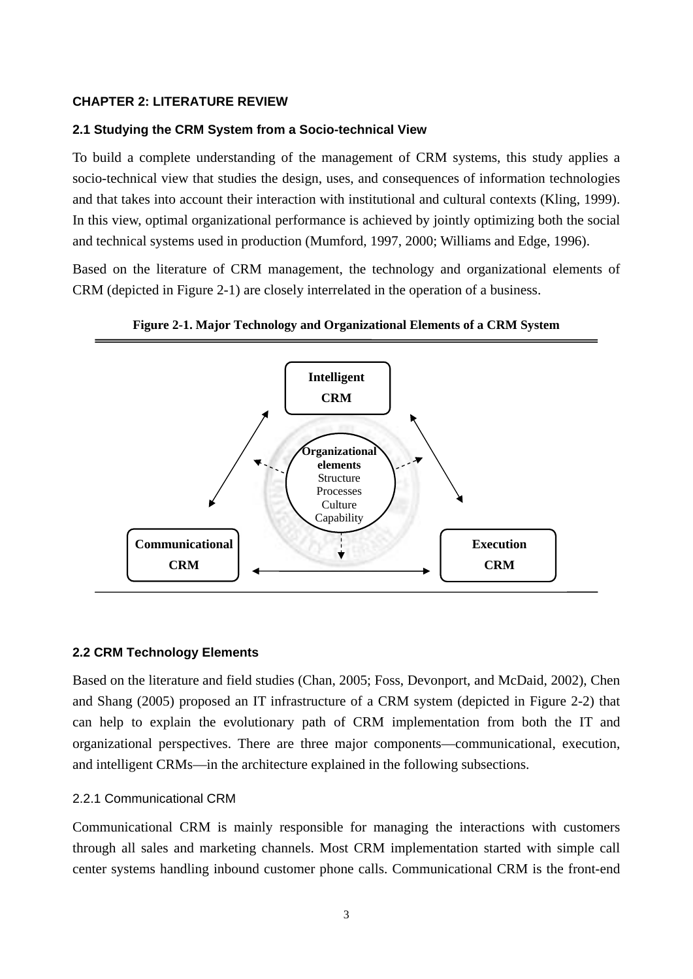#### **CHAPTER 2: LITERATURE REVIEW**

#### **2.1 Studying the CRM System from a Socio-technical View**

To build a complete understanding of the management of CRM systems, this study applies a socio-technical view that studies the design, uses, and consequences of information technologies and that takes into account their interaction with institutional and cultural contexts (Kling, 1999). In this view, optimal organizational performance is achieved by jointly optimizing both the social and technical systems used in production (Mumford, 1997, 2000; Williams and Edge, 1996).

Based on the literature of CRM management, the technology and organizational elements of CRM (depicted in Figure 2-1) are closely interrelated in the operation of a business.





#### **2.2 CRM Technology Elements**

Based on the literature and field studies (Chan, 2005; Foss, Devonport, and McDaid, 2002), Chen and Shang (2005) proposed an IT infrastructure of a CRM system (depicted in Figure 2-2) that can help to explain the evolutionary path of CRM implementation from both the IT and organizational perspectives. There are three major components—communicational, execution, and intelligent CRMs—in the architecture explained in the following subsections.

#### 2.2.1 Communicational CRM

Communicational CRM is mainly responsible for managing the interactions with customers through all sales and marketing channels. Most CRM implementation started with simple call center systems handling inbound customer phone calls. Communicational CRM is the front-end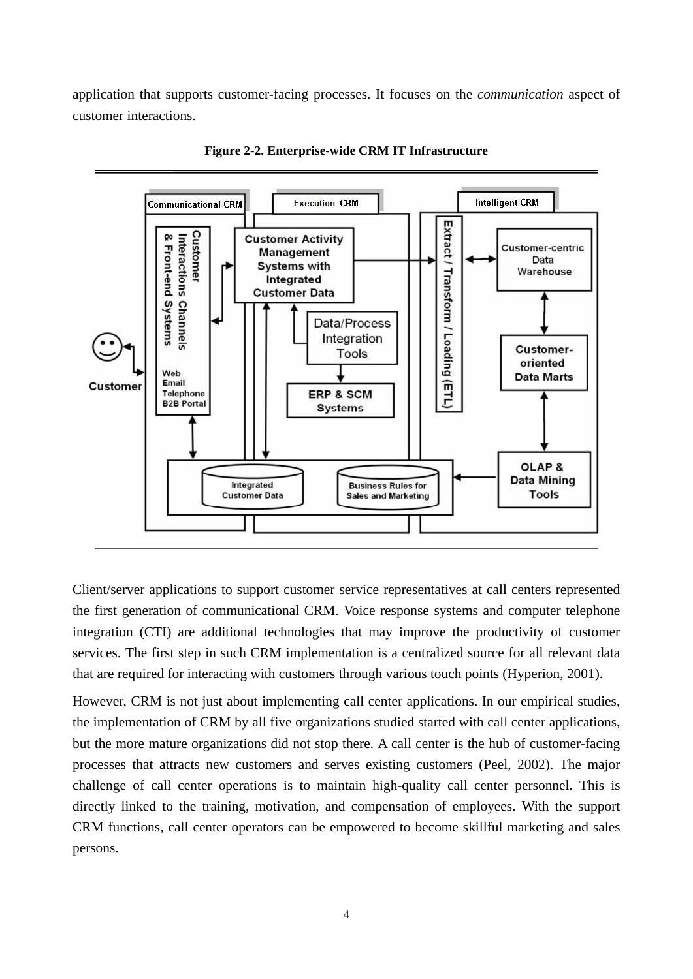application that supports customer-facing processes. It focuses on the *communication* aspect of customer interactions.



**Figure 2-2. Enterprise-wide CRM IT Infrastructure** 

Client/server applications to support customer service representatives at call centers represented the first generation of communicational CRM. Voice response systems and computer telephone integration (CTI) are additional technologies that may improve the productivity of customer services. The first step in such CRM implementation is a centralized source for all relevant data that are required for interacting with customers through various touch points (Hyperion, 2001).

However, CRM is not just about implementing call center applications. In our empirical studies, the implementation of CRM by all five organizations studied started with call center applications, but the more mature organizations did not stop there. A call center is the hub of customer-facing processes that attracts new customers and serves existing customers (Peel, 2002). The major challenge of call center operations is to maintain high-quality call center personnel. This is directly linked to the training, motivation, and compensation of employees. With the support CRM functions, call center operators can be empowered to become skillful marketing and sales persons.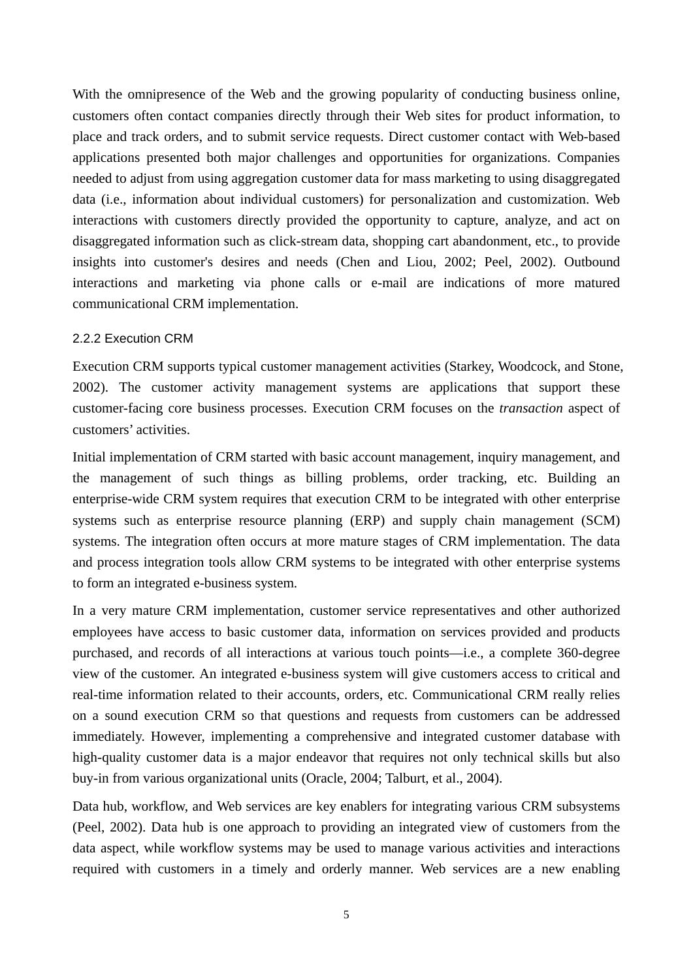With the omnipresence of the Web and the growing popularity of conducting business online, customers often contact companies directly through their Web sites for product information, to place and track orders, and to submit service requests. Direct customer contact with Web-based applications presented both major challenges and opportunities for organizations. Companies needed to adjust from using aggregation customer data for mass marketing to using disaggregated data (i.e., information about individual customers) for personalization and customization. Web interactions with customers directly provided the opportunity to capture, analyze, and act on disaggregated information such as click-stream data, shopping cart abandonment, etc., to provide insights into customer's desires and needs (Chen and Liou, 2002; Peel, 2002). Outbound interactions and marketing via phone calls or e-mail are indications of more matured communicational CRM implementation.

#### 2.2.2 Execution CRM

Execution CRM supports typical customer management activities (Starkey, Woodcock, and Stone, 2002). The customer activity management systems are applications that support these customer-facing core business processes. Execution CRM focuses on the *transaction* aspect of customers' activities.

Initial implementation of CRM started with basic account management, inquiry management, and the management of such things as billing problems, order tracking, etc. Building an enterprise-wide CRM system requires that execution CRM to be integrated with other enterprise systems such as enterprise resource planning (ERP) and supply chain management (SCM) systems. The integration often occurs at more mature stages of CRM implementation. The data and process integration tools allow CRM systems to be integrated with other enterprise systems to form an integrated e-business system.

In a very mature CRM implementation, customer service representatives and other authorized employees have access to basic customer data, information on services provided and products purchased, and records of all interactions at various touch points—i.e., a complete 360-degree view of the customer. An integrated e-business system will give customers access to critical and real-time information related to their accounts, orders, etc. Communicational CRM really relies on a sound execution CRM so that questions and requests from customers can be addressed immediately. However, implementing a comprehensive and integrated customer database with high-quality customer data is a major endeavor that requires not only technical skills but also buy-in from various organizational units (Oracle, 2004; Talburt, et al., 2004).

Data hub, workflow, and Web services are key enablers for integrating various CRM subsystems (Peel, 2002). Data hub is one approach to providing an integrated view of customers from the data aspect, while workflow systems may be used to manage various activities and interactions required with customers in a timely and orderly manner. Web services are a new enabling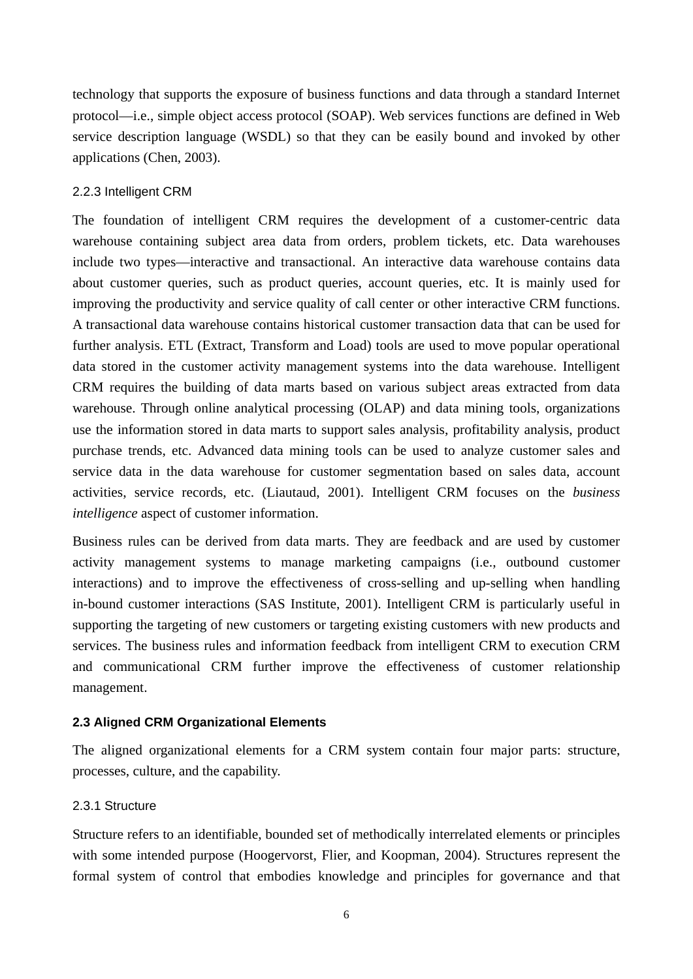technology that supports the exposure of business functions and data through a standard Internet protocol—i.e., simple object access protocol (SOAP). Web services functions are defined in Web service description language (WSDL) so that they can be easily bound and invoked by other applications (Chen, 2003).

# 2.2.3 Intelligent CRM

The foundation of intelligent CRM requires the development of a customer-centric data warehouse containing subject area data from orders, problem tickets, etc. Data warehouses include two types—interactive and transactional. An interactive data warehouse contains data about customer queries, such as product queries, account queries, etc. It is mainly used for improving the productivity and service quality of call center or other interactive CRM functions. A transactional data warehouse contains historical customer transaction data that can be used for further analysis. ETL (Extract, Transform and Load) tools are used to move popular operational data stored in the customer activity management systems into the data warehouse. Intelligent CRM requires the building of data marts based on various subject areas extracted from data warehouse. Through online analytical processing (OLAP) and data mining tools, organizations use the information stored in data marts to support sales analysis, profitability analysis, product purchase trends, etc. Advanced data mining tools can be used to analyze customer sales and service data in the data warehouse for customer segmentation based on sales data, account activities, service records, etc. (Liautaud, 2001). Intelligent CRM focuses on the *business intelligence* aspect of customer information.

Business rules can be derived from data marts. They are feedback and are used by customer activity management systems to manage marketing campaigns (i.e., outbound customer interactions) and to improve the effectiveness of cross-selling and up-selling when handling in-bound customer interactions (SAS Institute, 2001). Intelligent CRM is particularly useful in supporting the targeting of new customers or targeting existing customers with new products and services. The business rules and information feedback from intelligent CRM to execution CRM and communicational CRM further improve the effectiveness of customer relationship management.

#### **2.3 Aligned CRM Organizational Elements**

The aligned organizational elements for a CRM system contain four major parts: structure, processes, culture, and the capability.

#### 2.3.1 Structure

Structure refers to an identifiable, bounded set of methodically interrelated elements or principles with some intended purpose (Hoogervorst, Flier, and Koopman, 2004). Structures represent the formal system of control that embodies knowledge and principles for governance and that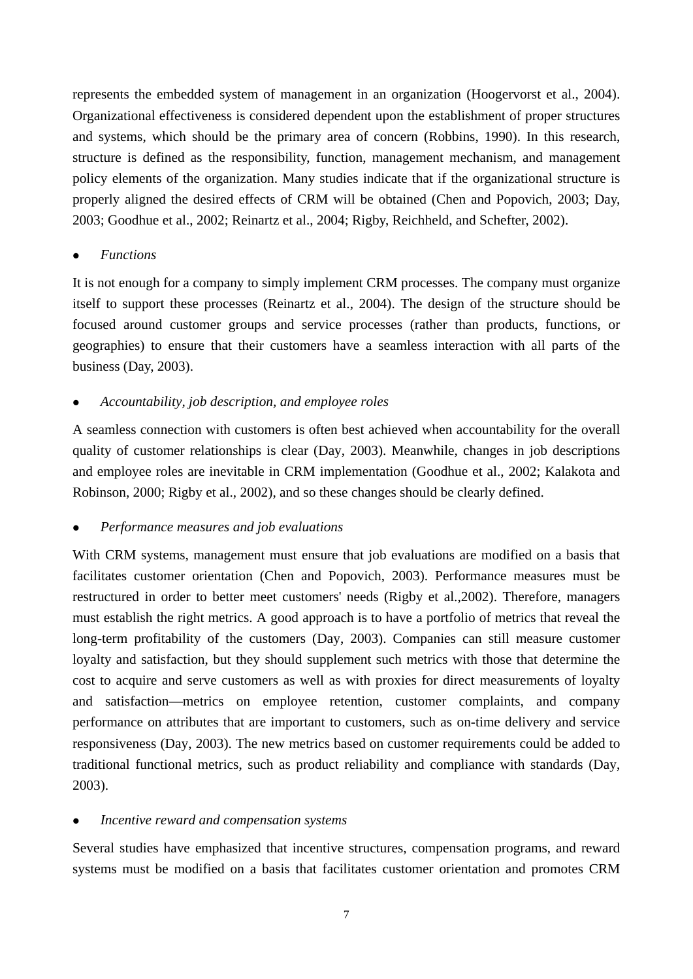represents the embedded system of management in an organization (Hoogervorst et al., 2004). Organizational effectiveness is considered dependent upon the establishment of proper structures and systems, which should be the primary area of concern (Robbins, 1990). In this research, structure is defined as the responsibility, function, management mechanism, and management policy elements of the organization. Many studies indicate that if the organizational structure is properly aligned the desired effects of CRM will be obtained (Chen and Popovich, 2003; Day, 2003; Goodhue et al., 2002; Reinartz et al., 2004; Rigby, Reichheld, and Schefter, 2002).

# <sup>z</sup> *Functions*

It is not enough for a company to simply implement CRM processes. The company must organize itself to support these processes (Reinartz et al., 2004). The design of the structure should be focused around customer groups and service processes (rather than products, functions, or geographies) to ensure that their customers have a seamless interaction with all parts of the business (Day, 2003).

# <sup>z</sup> *Accountability, job description, and employee roles*

A seamless connection with customers is often best achieved when accountability for the overall quality of customer relationships is clear (Day, 2003). Meanwhile, changes in job descriptions and employee roles are inevitable in CRM implementation (Goodhue et al., 2002; Kalakota and Robinson, 2000; Rigby et al., 2002), and so these changes should be clearly defined.

#### <sup>z</sup> *Performance measures and job evaluations*

With CRM systems, management must ensure that job evaluations are modified on a basis that facilitates customer orientation (Chen and Popovich, 2003). Performance measures must be restructured in order to better meet customers' needs (Rigby et al.,2002). Therefore, managers must establish the right metrics. A good approach is to have a portfolio of metrics that reveal the long-term profitability of the customers (Day, 2003). Companies can still measure customer loyalty and satisfaction, but they should supplement such metrics with those that determine the cost to acquire and serve customers as well as with proxies for direct measurements of loyalty and satisfaction—metrics on employee retention, customer complaints, and company performance on attributes that are important to customers, such as on-time delivery and service responsiveness (Day, 2003). The new metrics based on customer requirements could be added to traditional functional metrics, such as product reliability and compliance with standards (Day, 2003).

#### <sup>z</sup> *Incentive reward and compensation systems*

Several studies have emphasized that incentive structures, compensation programs, and reward systems must be modified on a basis that facilitates customer orientation and promotes CRM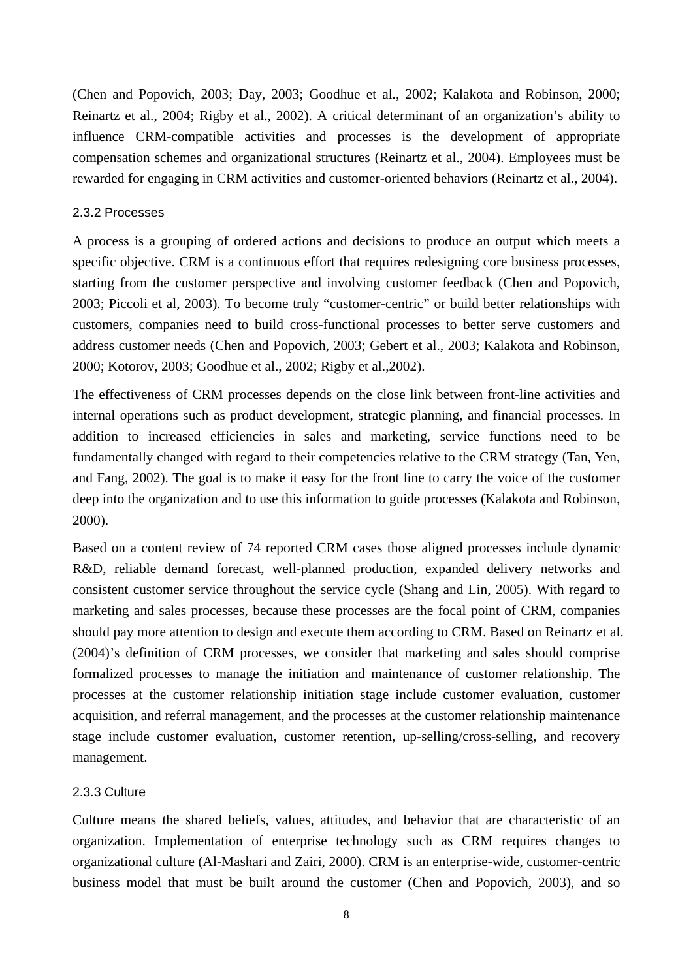(Chen and Popovich, 2003; Day, 2003; Goodhue et al., 2002; Kalakota and Robinson, 2000; Reinartz et al., 2004; Rigby et al., 2002). A critical determinant of an organization's ability to influence CRM-compatible activities and processes is the development of appropriate compensation schemes and organizational structures (Reinartz et al., 2004). Employees must be rewarded for engaging in CRM activities and customer-oriented behaviors (Reinartz et al., 2004).

#### 2.3.2 Processes

A process is a grouping of ordered actions and decisions to produce an output which meets a specific objective. CRM is a continuous effort that requires redesigning core business processes, starting from the customer perspective and involving customer feedback (Chen and Popovich, 2003; Piccoli et al, 2003). To become truly "customer-centric" or build better relationships with customers, companies need to build cross-functional processes to better serve customers and address customer needs (Chen and Popovich, 2003; Gebert et al., 2003; Kalakota and Robinson, 2000; Kotorov, 2003; Goodhue et al., 2002; Rigby et al.,2002).

The effectiveness of CRM processes depends on the close link between front-line activities and internal operations such as product development, strategic planning, and financial processes. In addition to increased efficiencies in sales and marketing, service functions need to be fundamentally changed with regard to their competencies relative to the CRM strategy (Tan, Yen, and Fang, 2002). The goal is to make it easy for the front line to carry the voice of the customer deep into the organization and to use this information to guide processes (Kalakota and Robinson, 2000).

Based on a content review of 74 reported CRM cases those aligned processes include dynamic R&D, reliable demand forecast, well-planned production, expanded delivery networks and consistent customer service throughout the service cycle (Shang and Lin, 2005). With regard to marketing and sales processes, because these processes are the focal point of CRM, companies should pay more attention to design and execute them according to CRM. Based on Reinartz et al. (2004)'s definition of CRM processes, we consider that marketing and sales should comprise formalized processes to manage the initiation and maintenance of customer relationship. The processes at the customer relationship initiation stage include customer evaluation, customer acquisition, and referral management, and the processes at the customer relationship maintenance stage include customer evaluation, customer retention, up-selling/cross-selling, and recovery management.

#### 2.3.3 Culture

Culture means the shared beliefs, values, attitudes, and behavior that are characteristic of an organization. Implementation of enterprise technology such as CRM requires changes to organizational culture (Al-Mashari and Zairi, 2000). CRM is an enterprise-wide, customer-centric business model that must be built around the customer (Chen and Popovich, 2003), and so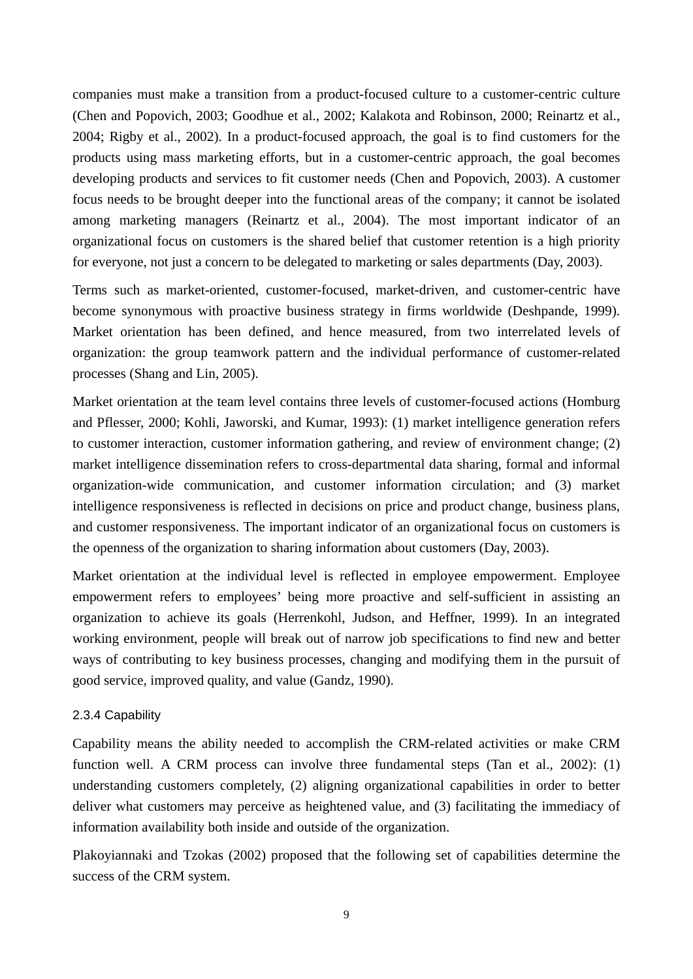companies must make a transition from a product-focused culture to a customer-centric culture (Chen and Popovich, 2003; Goodhue et al., 2002; Kalakota and Robinson, 2000; Reinartz et al., 2004; Rigby et al., 2002). In a product-focused approach, the goal is to find customers for the products using mass marketing efforts, but in a customer-centric approach, the goal becomes developing products and services to fit customer needs (Chen and Popovich, 2003). A customer focus needs to be brought deeper into the functional areas of the company; it cannot be isolated among marketing managers (Reinartz et al., 2004). The most important indicator of an organizational focus on customers is the shared belief that customer retention is a high priority for everyone, not just a concern to be delegated to marketing or sales departments (Day, 2003).

Terms such as market-oriented, customer-focused, market-driven, and customer-centric have become synonymous with proactive business strategy in firms worldwide (Deshpande, 1999). Market orientation has been defined, and hence measured, from two interrelated levels of organization: the group teamwork pattern and the individual performance of customer-related processes (Shang and Lin, 2005).

Market orientation at the team level contains three levels of customer-focused actions (Homburg and Pflesser, 2000; Kohli, Jaworski, and Kumar, 1993): (1) market intelligence generation refers to customer interaction, customer information gathering, and review of environment change; (2) market intelligence dissemination refers to cross-departmental data sharing, formal and informal organization-wide communication, and customer information circulation; and (3) market intelligence responsiveness is reflected in decisions on price and product change, business plans, and customer responsiveness. The important indicator of an organizational focus on customers is the openness of the organization to sharing information about customers (Day, 2003).

Market orientation at the individual level is reflected in employee empowerment. Employee empowerment refers to employees' being more proactive and self-sufficient in assisting an organization to achieve its goals (Herrenkohl, Judson, and Heffner, 1999). In an integrated working environment, people will break out of narrow job specifications to find new and better ways of contributing to key business processes, changing and modifying them in the pursuit of good service, improved quality, and value (Gandz, 1990).

#### 2.3.4 Capability

Capability means the ability needed to accomplish the CRM-related activities or make CRM function well. A CRM process can involve three fundamental steps (Tan et al., 2002): (1) understanding customers completely, (2) aligning organizational capabilities in order to better deliver what customers may perceive as heightened value, and (3) facilitating the immediacy of information availability both inside and outside of the organization.

Plakoyiannaki and Tzokas (2002) proposed that the following set of capabilities determine the success of the CRM system.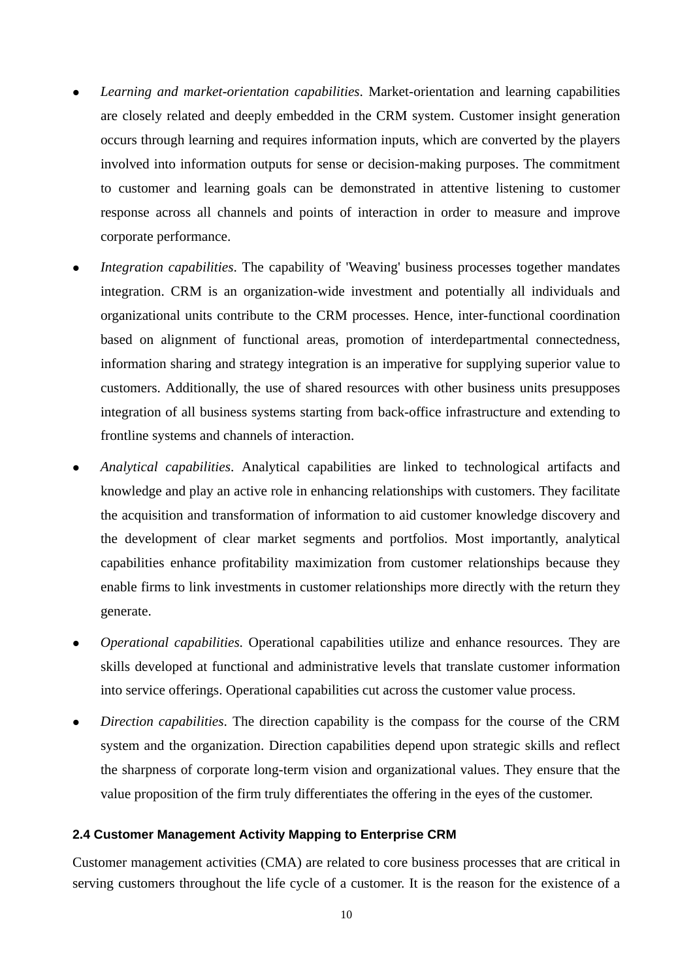- Learning and market-orientation capabilities. Market-orientation and learning capabilities are closely related and deeply embedded in the CRM system. Customer insight generation occurs through learning and requires information inputs, which are converted by the players involved into information outputs for sense or decision-making purposes. The commitment to customer and learning goals can be demonstrated in attentive listening to customer response across all channels and points of interaction in order to measure and improve corporate performance.
- *Integration capabilities*. The capability of 'Weaving' business processes together mandates integration. CRM is an organization-wide investment and potentially all individuals and organizational units contribute to the CRM processes. Hence, inter-functional coordination based on alignment of functional areas, promotion of interdepartmental connectedness, information sharing and strategy integration is an imperative for supplying superior value to customers. Additionally, the use of shared resources with other business units presupposes integration of all business systems starting from back-office infrastructure and extending to frontline systems and channels of interaction.
- <sup>z</sup> *Analytical capabilities*. Analytical capabilities are linked to technological artifacts and knowledge and play an active role in enhancing relationships with customers. They facilitate the acquisition and transformation of information to aid customer knowledge discovery and the development of clear market segments and portfolios. Most importantly, analytical capabilities enhance profitability maximization from customer relationships because they enable firms to link investments in customer relationships more directly with the return they generate.
- *Operational capabilities.* Operational capabilities utilize and enhance resources. They are skills developed at functional and administrative levels that translate customer information into service offerings. Operational capabilities cut across the customer value process.
- <sup>z</sup> *Direction capabilities*. The direction capability is the compass for the course of the CRM system and the organization. Direction capabilities depend upon strategic skills and reflect the sharpness of corporate long-term vision and organizational values. They ensure that the value proposition of the firm truly differentiates the offering in the eyes of the customer.

#### **2.4 Customer Management Activity Mapping to Enterprise CRM**

Customer management activities (CMA) are related to core business processes that are critical in serving customers throughout the life cycle of a customer. It is the reason for the existence of a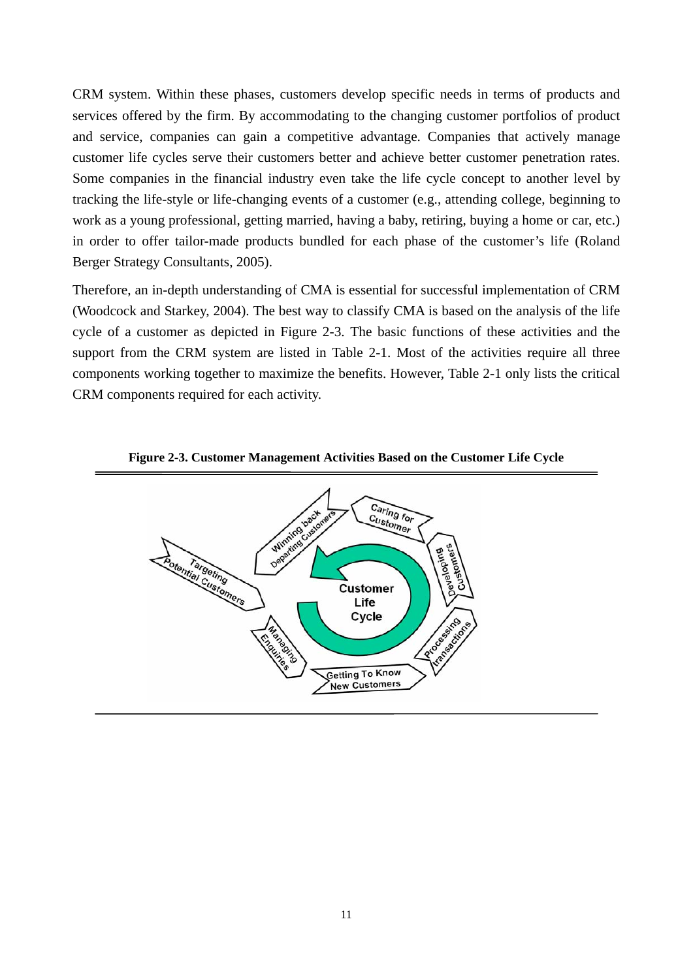CRM system. Within these phases, customers develop specific needs in terms of products and services offered by the firm. By accommodating to the changing customer portfolios of product and service, companies can gain a competitive advantage. Companies that actively manage customer life cycles serve their customers better and achieve better customer penetration rates. Some companies in the financial industry even take the life cycle concept to another level by tracking the life-style or life-changing events of a customer (e.g., attending college, beginning to work as a young professional, getting married, having a baby, retiring, buying a home or car, etc.) in order to offer tailor-made products bundled for each phase of the customer's life (Roland Berger Strategy Consultants, 2005).

Therefore, an in-depth understanding of CMA is essential for successful implementation of CRM (Woodcock and Starkey, 2004). The best way to classify CMA is based on the analysis of the life cycle of a customer as depicted in Figure 2-3. The basic functions of these activities and the support from the CRM system are listed in Table 2-1. Most of the activities require all three components working together to maximize the benefits. However, Table 2-1 only lists the critical CRM components required for each activity.



**Figure 2-3. Customer Management Activities Based on the Customer Life Cycle**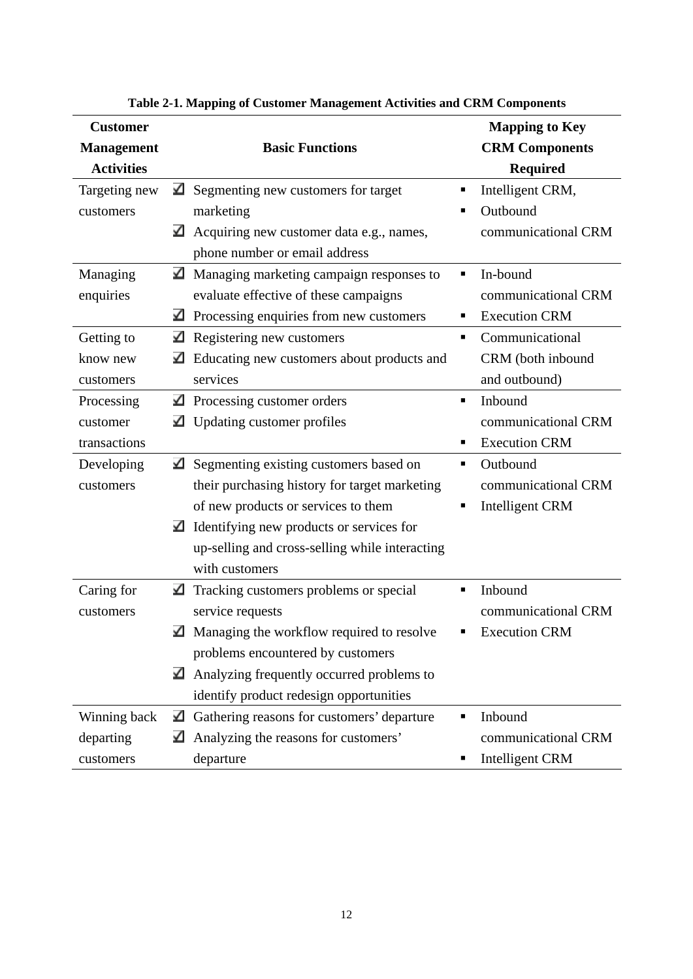| <b>Customer</b>   |                                                      | <b>Mapping to Key</b>  |
|-------------------|------------------------------------------------------|------------------------|
| <b>Management</b> | <b>Basic Functions</b>                               | <b>CRM Components</b>  |
| <b>Activities</b> |                                                      | <b>Required</b>        |
| Targeting new     | $\blacktriangle$ Segmenting new customers for target | Intelligent CRM,<br>п  |
| customers         | marketing                                            | Outbound               |
|                   | ⊻<br>Acquiring new customer data e.g., names,        | communicational CRM    |
|                   | phone number or email address                        |                        |
| Managing          | ⊻<br>Managing marketing campaign responses to        | In-bound<br>٠          |
| enquiries         | evaluate effective of these campaigns                | communicational CRM    |
|                   | ⊻<br>Processing enquiries from new customers         | <b>Execution CRM</b>   |
| Getting to        | ⊻<br>Registering new customers                       | Communicational<br>٠   |
| know new          | Educating new customers about products and<br>⊻      | CRM (both inbound      |
| customers         | services                                             | and outbound)          |
| Processing        | Processing customer orders<br>✔                      | Inbound<br>٠           |
| customer          | Updating customer profiles<br>⊻                      | communicational CRM    |
| transactions      |                                                      | <b>Execution CRM</b>   |
| Developing        | Segmenting existing customers based on<br>✔          | Outbound<br>٠          |
| customers         | their purchasing history for target marketing        | communicational CRM    |
|                   | of new products or services to them                  | <b>Intelligent CRM</b> |
|                   | Identifying new products or services for<br>✔        |                        |
|                   | up-selling and cross-selling while interacting       |                        |
|                   | with customers                                       |                        |
| Caring for        | ⊻<br>Tracking customers problems or special          | Inbound<br>▪           |
| customers         | service requests                                     | communicational CRM    |
|                   | ✔<br>Managing the workflow required to resolve       | <b>Execution CRM</b>   |
|                   | problems encountered by customers                    |                        |
|                   | Analyzing frequently occurred problems to<br>⊻       |                        |
|                   | identify product redesign opportunities              |                        |
| Winning back      | Gathering reasons for customers' departure<br>⊻      | Inbound                |
| departing         | ⊻<br>Analyzing the reasons for customers'            | communicational CRM    |
| customers         | departure                                            | <b>Intelligent CRM</b> |

**Table 2-1. Mapping of Customer Management Activities and CRM Components**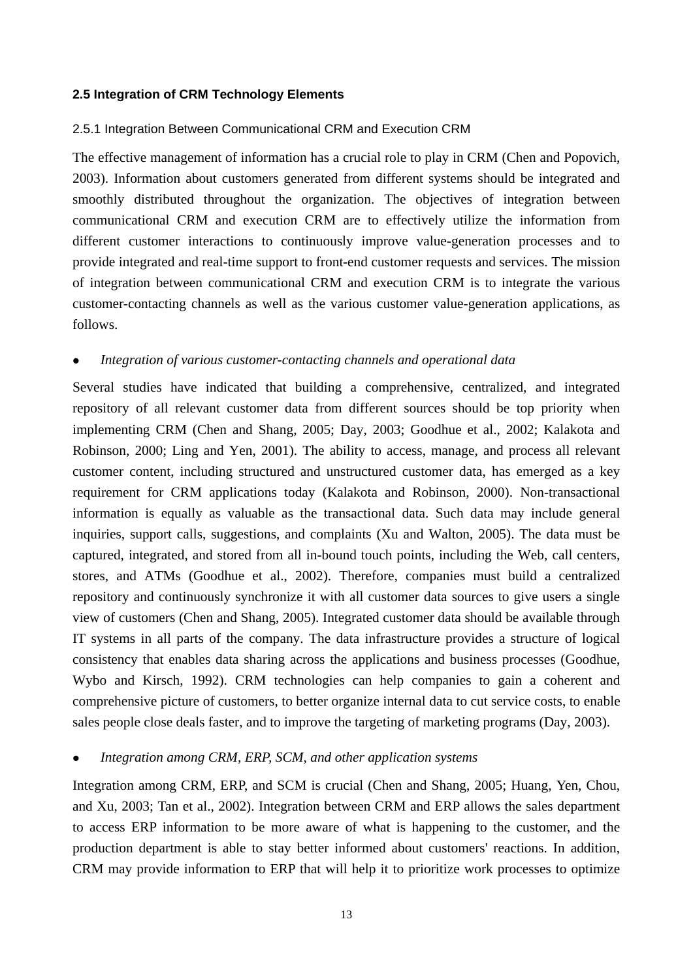#### **2.5 Integration of CRM Technology Elements**

#### 2.5.1 Integration Between Communicational CRM and Execution CRM

The effective management of information has a crucial role to play in CRM (Chen and Popovich, 2003). Information about customers generated from different systems should be integrated and smoothly distributed throughout the organization. The objectives of integration between communicational CRM and execution CRM are to effectively utilize the information from different customer interactions to continuously improve value-generation processes and to provide integrated and real-time support to front-end customer requests and services. The mission of integration between communicational CRM and execution CRM is to integrate the various customer-contacting channels as well as the various customer value-generation applications, as follows.

#### Integration of various customer-contacting channels and operational data

Several studies have indicated that building a comprehensive, centralized, and integrated repository of all relevant customer data from different sources should be top priority when implementing CRM (Chen and Shang, 2005; Day, 2003; Goodhue et al., 2002; Kalakota and Robinson, 2000; Ling and Yen, 2001). The ability to access, manage, and process all relevant customer content, including structured and unstructured customer data, has emerged as a key requirement for CRM applications today (Kalakota and Robinson, 2000). Non-transactional information is equally as valuable as the transactional data. Such data may include general inquiries, support calls, suggestions, and complaints (Xu and Walton, 2005). The data must be captured, integrated, and stored from all in-bound touch points, including the Web, call centers, stores, and ATMs (Goodhue et al., 2002). Therefore, companies must build a centralized repository and continuously synchronize it with all customer data sources to give users a single view of customers (Chen and Shang, 2005). Integrated customer data should be available through IT systems in all parts of the company. The data infrastructure provides a structure of logical consistency that enables data sharing across the applications and business processes (Goodhue, Wybo and Kirsch, 1992). CRM technologies can help companies to gain a coherent and comprehensive picture of customers, to better organize internal data to cut service costs, to enable sales people close deals faster, and to improve the targeting of marketing programs (Day, 2003).

#### Integration among CRM, ERP, SCM, and other application systems

Integration among CRM, ERP, and SCM is crucial (Chen and Shang, 2005; Huang, Yen, Chou, and Xu, 2003; Tan et al., 2002). Integration between CRM and ERP allows the sales department to access ERP information to be more aware of what is happening to the customer, and the production department is able to stay better informed about customers' reactions. In addition, CRM may provide information to ERP that will help it to prioritize work processes to optimize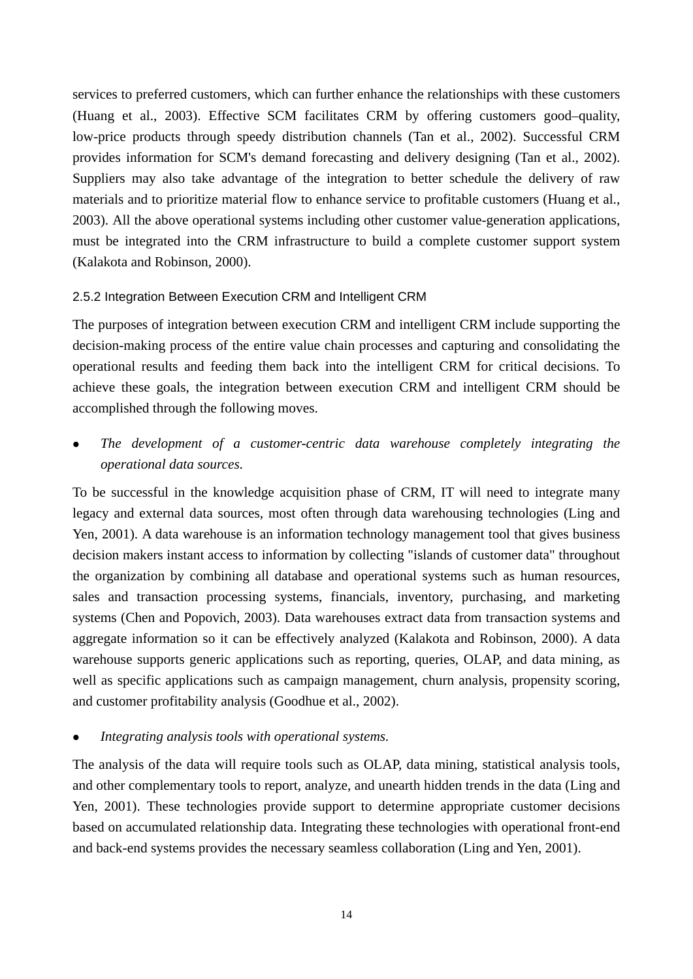services to preferred customers, which can further enhance the relationships with these customers (Huang et al., 2003). Effective SCM facilitates CRM by offering customers good–quality, low-price products through speedy distribution channels (Tan et al., 2002). Successful CRM provides information for SCM's demand forecasting and delivery designing (Tan et al., 2002). Suppliers may also take advantage of the integration to better schedule the delivery of raw materials and to prioritize material flow to enhance service to profitable customers (Huang et al., 2003). All the above operational systems including other customer value-generation applications, must be integrated into the CRM infrastructure to build a complete customer support system (Kalakota and Robinson, 2000).

# 2.5.2 Integration Between Execution CRM and Intelligent CRM

The purposes of integration between execution CRM and intelligent CRM include supporting the decision-making process of the entire value chain processes and capturing and consolidating the operational results and feeding them back into the intelligent CRM for critical decisions. To achieve these goals, the integration between execution CRM and intelligent CRM should be accomplished through the following moves.

The development of a customer-centric data warehouse completely integrating the *operational data sources.* 

To be successful in the knowledge acquisition phase of CRM, IT will need to integrate many legacy and external data sources, most often through data warehousing technologies (Ling and Yen, 2001). A data warehouse is an information technology management tool that gives business decision makers instant access to information by collecting "islands of customer data" throughout the organization by combining all database and operational systems such as human resources, sales and transaction processing systems, financials, inventory, purchasing, and marketing systems (Chen and Popovich, 2003). Data warehouses extract data from transaction systems and aggregate information so it can be effectively analyzed (Kalakota and Robinson, 2000). A data warehouse supports generic applications such as reporting, queries, OLAP, and data mining, as well as specific applications such as campaign management, churn analysis, propensity scoring, and customer profitability analysis (Goodhue et al., 2002).

# Integrating analysis tools with operational systems.

The analysis of the data will require tools such as OLAP, data mining, statistical analysis tools, and other complementary tools to report, analyze, and unearth hidden trends in the data (Ling and Yen, 2001). These technologies provide support to determine appropriate customer decisions based on accumulated relationship data. Integrating these technologies with operational front-end and back-end systems provides the necessary seamless collaboration (Ling and Yen, 2001).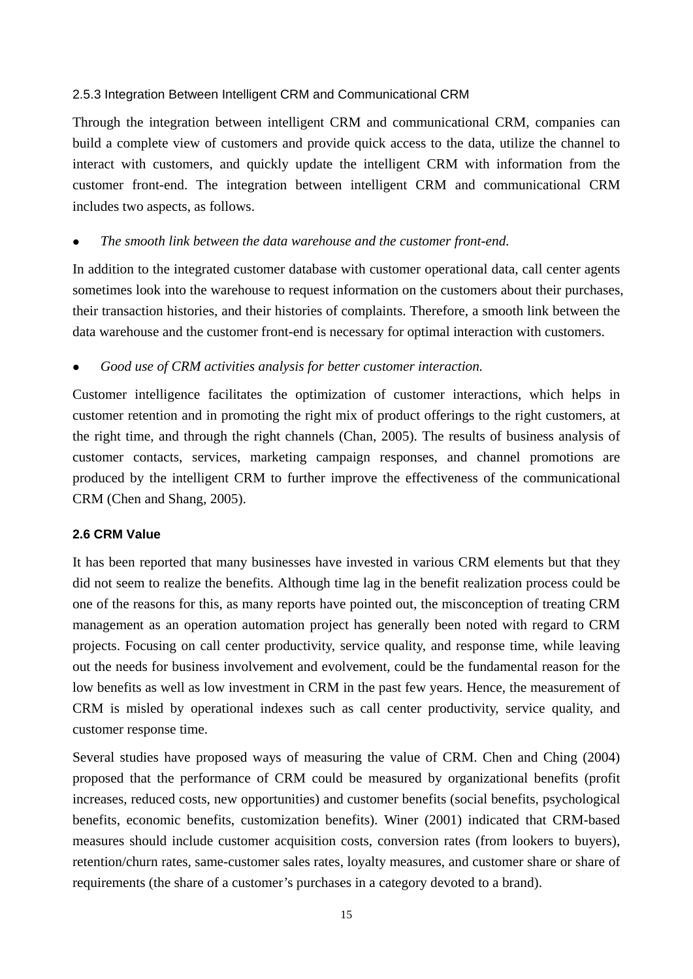# 2.5.3 Integration Between Intelligent CRM and Communicational CRM

Through the integration between intelligent CRM and communicational CRM, companies can build a complete view of customers and provide quick access to the data, utilize the channel to interact with customers, and quickly update the intelligent CRM with information from the customer front-end. The integration between intelligent CRM and communicational CRM includes two aspects, as follows.

# The smooth link between the data warehouse and the customer front-end.

In addition to the integrated customer database with customer operational data, call center agents sometimes look into the warehouse to request information on the customers about their purchases, their transaction histories, and their histories of complaints. Therefore, a smooth link between the data warehouse and the customer front-end is necessary for optimal interaction with customers.

Good use of CRM activities analysis for better customer interaction.

Customer intelligence facilitates the optimization of customer interactions, which helps in customer retention and in promoting the right mix of product offerings to the right customers, at the right time, and through the right channels (Chan, 2005). The results of business analysis of customer contacts, services, marketing campaign responses, and channel promotions are produced by the intelligent CRM to further improve the effectiveness of the communicational CRM (Chen and Shang, 2005).

# **2.6 CRM Value**

It has been reported that many businesses have invested in various CRM elements but that they did not seem to realize the benefits. Although time lag in the benefit realization process could be one of the reasons for this, as many reports have pointed out, the misconception of treating CRM management as an operation automation project has generally been noted with regard to CRM projects. Focusing on call center productivity, service quality, and response time, while leaving out the needs for business involvement and evolvement, could be the fundamental reason for the low benefits as well as low investment in CRM in the past few years. Hence, the measurement of CRM is misled by operational indexes such as call center productivity, service quality, and customer response time.

Several studies have proposed ways of measuring the value of CRM. Chen and Ching (2004) proposed that the performance of CRM could be measured by organizational benefits (profit increases, reduced costs, new opportunities) and customer benefits (social benefits, psychological benefits, economic benefits, customization benefits). Winer (2001) indicated that CRM-based measures should include customer acquisition costs, conversion rates (from lookers to buyers), retention/churn rates, same-customer sales rates, loyalty measures, and customer share or share of requirements (the share of a customer's purchases in a category devoted to a brand).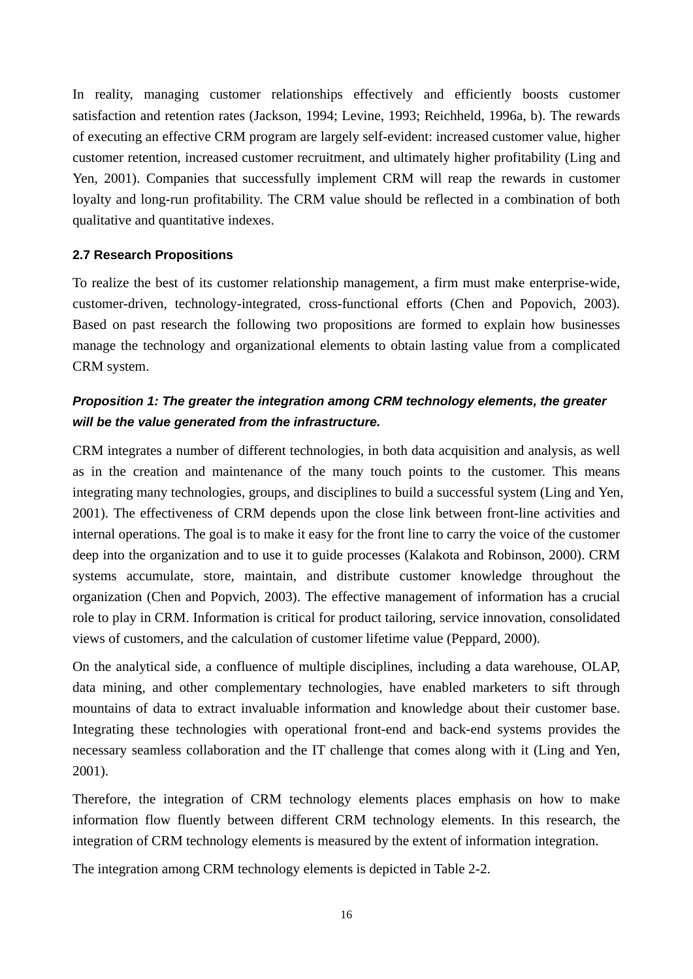In reality, managing customer relationships effectively and efficiently boosts customer satisfaction and retention rates (Jackson, 1994; Levine, 1993; Reichheld, 1996a, b). The rewards of executing an effective CRM program are largely self-evident: increased customer value, higher customer retention, increased customer recruitment, and ultimately higher profitability (Ling and Yen, 2001). Companies that successfully implement CRM will reap the rewards in customer loyalty and long-run profitability. The CRM value should be reflected in a combination of both qualitative and quantitative indexes.

# **2.7 Research Propositions**

To realize the best of its customer relationship management, a firm must make enterprise-wide, customer-driven, technology-integrated, cross-functional efforts (Chen and Popovich, 2003). Based on past research the following two propositions are formed to explain how businesses manage the technology and organizational elements to obtain lasting value from a complicated CRM system.

# *Proposition 1: The greater the integration among CRM technology elements, the greater will be the value generated from the infrastructure.*

CRM integrates a number of different technologies, in both data acquisition and analysis, as well as in the creation and maintenance of the many touch points to the customer. This means integrating many technologies, groups, and disciplines to build a successful system (Ling and Yen, 2001). The effectiveness of CRM depends upon the close link between front-line activities and internal operations. The goal is to make it easy for the front line to carry the voice of the customer deep into the organization and to use it to guide processes (Kalakota and Robinson, 2000). CRM systems accumulate, store, maintain, and distribute customer knowledge throughout the organization (Chen and Popvich, 2003). The effective management of information has a crucial role to play in CRM. Information is critical for product tailoring, service innovation, consolidated views of customers, and the calculation of customer lifetime value (Peppard, 2000).

On the analytical side, a confluence of multiple disciplines, including a data warehouse, OLAP, data mining, and other complementary technologies, have enabled marketers to sift through mountains of data to extract invaluable information and knowledge about their customer base. Integrating these technologies with operational front-end and back-end systems provides the necessary seamless collaboration and the IT challenge that comes along with it (Ling and Yen, 2001).

Therefore, the integration of CRM technology elements places emphasis on how to make information flow fluently between different CRM technology elements. In this research, the integration of CRM technology elements is measured by the extent of information integration.

The integration among CRM technology elements is depicted in Table 2-2.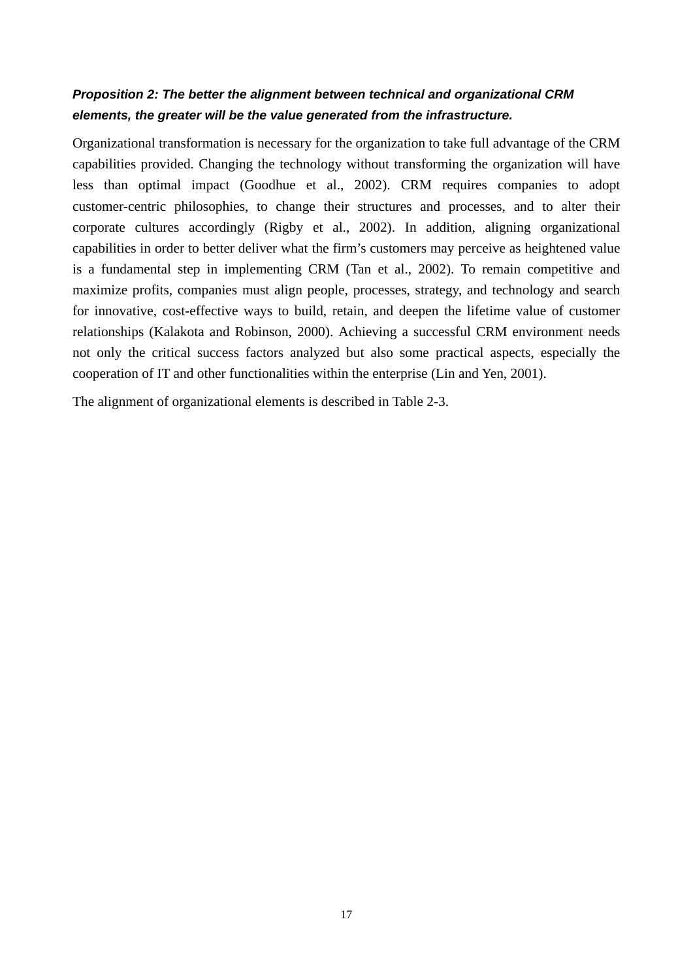# *Proposition 2: The better the alignment between technical and organizational CRM elements, the greater will be the value generated from the infrastructure.*

Organizational transformation is necessary for the organization to take full advantage of the CRM capabilities provided. Changing the technology without transforming the organization will have less than optimal impact (Goodhue et al., 2002). CRM requires companies to adopt customer-centric philosophies, to change their structures and processes, and to alter their corporate cultures accordingly (Rigby et al., 2002). In addition, aligning organizational capabilities in order to better deliver what the firm's customers may perceive as heightened value is a fundamental step in implementing CRM (Tan et al., 2002). To remain competitive and maximize profits, companies must align people, processes, strategy, and technology and search for innovative, cost-effective ways to build, retain, and deepen the lifetime value of customer relationships (Kalakota and Robinson, 2000). Achieving a successful CRM environment needs not only the critical success factors analyzed but also some practical aspects, especially the cooperation of IT and other functionalities within the enterprise (Lin and Yen, 2001).

The alignment of organizational elements is described in Table 2-3.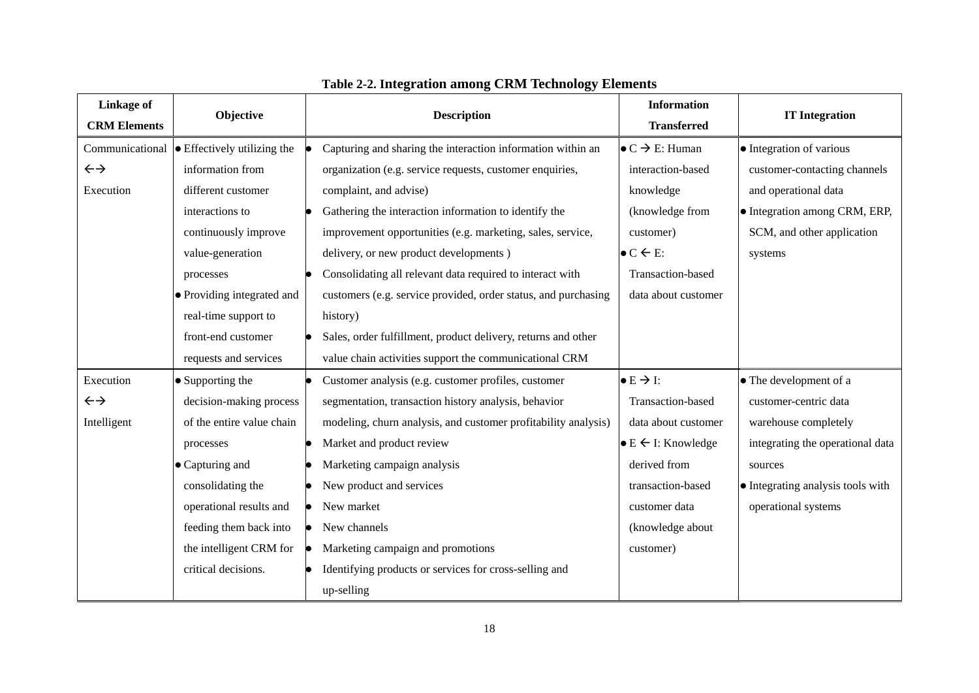| <b>Linkage of</b>   | Objective                                           | <b>Information</b><br><b>Description</b>                                                          | <b>IT Integration</b>             |
|---------------------|-----------------------------------------------------|---------------------------------------------------------------------------------------------------|-----------------------------------|
| <b>CRM Elements</b> |                                                     | <b>Transferred</b>                                                                                |                                   |
|                     | Communicational $\bullet$ Effectively utilizing the | Capturing and sharing the interaction information within an<br>$\bullet$ C $\rightarrow$ E: Human | • Integration of various          |
| $\leftrightarrow$   | information from                                    | organization (e.g. service requests, customer enquiries,<br>interaction-based                     | customer-contacting channels      |
| Execution           | different customer                                  | knowledge<br>complaint, and advise)                                                               | and operational data              |
|                     | interactions to                                     | Gathering the interaction information to identify the<br>(knowledge from                          | • Integration among CRM, ERP,     |
|                     | continuously improve                                | improvement opportunities (e.g. marketing, sales, service,<br>customer)                           | SCM, and other application        |
|                     | value-generation                                    | delivery, or new product developments)<br>$\bullet$ C $\leftarrow$ E:                             | systems                           |
|                     | processes                                           | Consolidating all relevant data required to interact with<br>Transaction-based                    |                                   |
|                     | • Providing integrated and                          | customers (e.g. service provided, order status, and purchasing<br>data about customer             |                                   |
|                     | real-time support to                                | history)                                                                                          |                                   |
|                     | front-end customer                                  | Sales, order fulfillment, product delivery, returns and other                                     |                                   |
|                     | requests and services                               | value chain activities support the communicational CRM                                            |                                   |
| Execution           | $\bullet$ Supporting the                            | $\bullet$ E $\rightarrow$ I:<br>Customer analysis (e.g. customer profiles, customer               | • The development of a            |
| $\leftrightarrow$   | decision-making process                             | segmentation, transaction history analysis, behavior<br>Transaction-based                         | customer-centric data             |
| Intelligent         | of the entire value chain                           | modeling, churn analysis, and customer profitability analysis)<br>data about customer             | warehouse completely              |
|                     | processes                                           | Market and product review<br>$\bullet$ E $\leftarrow$ I: Knowledge                                | integrating the operational data  |
|                     | $\bullet$ Capturing and                             | Marketing campaign analysis<br>derived from                                                       | sources                           |
|                     | consolidating the                                   | New product and services<br>transaction-based                                                     | • Integrating analysis tools with |
|                     | operational results and                             | New market<br>customer data                                                                       | operational systems               |
|                     | feeding them back into                              | New channels<br>(knowledge about                                                                  |                                   |
|                     | the intelligent CRM for                             | Marketing campaign and promotions<br>customer)                                                    |                                   |
|                     | critical decisions.                                 | Identifying products or services for cross-selling and                                            |                                   |
|                     |                                                     | up-selling                                                                                        |                                   |

# **Table 2-2. Integration among CRM Technology Elements**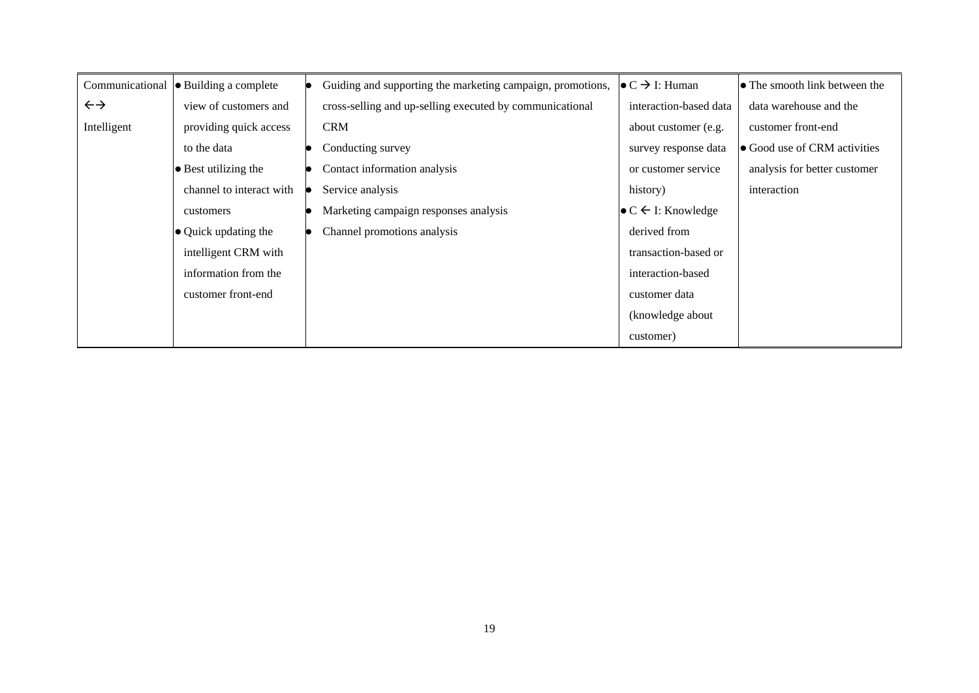| Communicational   | • Building a complete        | Guiding and supporting the marketing campaign, promotions, | $\bullet$ C $\rightarrow$ I: Human    | $\bullet$ The smooth link between the |
|-------------------|------------------------------|------------------------------------------------------------|---------------------------------------|---------------------------------------|
| $\leftrightarrow$ | view of customers and        | cross-selling and up-selling executed by communicational   | interaction-based data                | data warehouse and the                |
| Intelligent       | providing quick access       | <b>CRM</b>                                                 | about customer (e.g.                  | customer front-end                    |
|                   | to the data                  | Conducting survey                                          | survey response data                  | • Good use of CRM activities          |
|                   | $\bullet$ Best utilizing the | Contact information analysis                               | or customer service                   | analysis for better customer          |
|                   | channel to interact with     | Service analysis                                           | history)                              | interaction                           |
|                   | customers                    | Marketing campaign responses analysis                      | $\bullet$ C $\leftarrow$ I: Knowledge |                                       |
|                   | $\bullet$ Quick updating the | Channel promotions analysis                                | derived from                          |                                       |
|                   | intelligent CRM with         |                                                            | transaction-based or                  |                                       |
|                   | information from the         |                                                            | interaction-based                     |                                       |
|                   | customer front-end           |                                                            | customer data                         |                                       |
|                   |                              |                                                            | (knowledge about                      |                                       |
|                   |                              |                                                            | customer)                             |                                       |